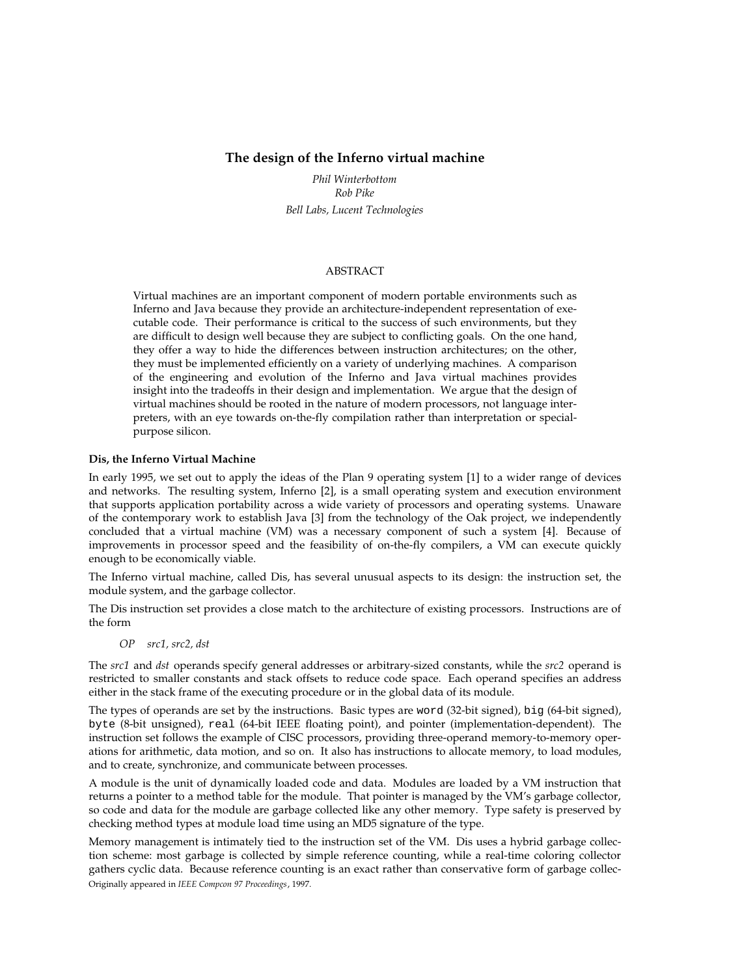# **The design of the Inferno virtual machine**

*Phil Winterbottom Rob Pike Bell Labs, Lucent Technologies*

# ABSTRACT

Virtual machines are an important component of modern portable environments such as Inferno and Java because they provide an architecture-independent representation of executable code. Their performance is critical to the success of such environments, but they are difficult to design well because they are subject to conflicting goals. On the one hand, they offer a way to hide the differences between instruction architectures; on the other, they must be implemented efficiently on a variety of underlying machines. A comparison of the engineering and evolution of the Inferno and Java virtual machines provides insight into the tradeoffs in their design and implementation. We argue that the design of virtual machines should be rooted in the nature of modern processors, not language interpreters, with an eye towards on-the-fly compilation rather than interpretation or specialpurpose silicon.

## **Dis, the Inferno Virtual Machine**

In early 1995, we set out to apply the ideas of the Plan 9 operating system [1] to a wider range of devices and networks. The resulting system, Inferno [2], is a small operating system and execution environment that supports application portability across a wide variety of processors and operating systems. Unaware of the contemporary work to establish Java [3] from the technology of the Oak project, we independently concluded that a virtual machine (VM) was a necessary component of such a system [4]. Because of improvements in processor speed and the feasibility of on-the-fly compilers, a VM can execute quickly enough to be economically viable.

The Inferno virtual machine, called Dis, has several unusual aspects to its design: the instruction set, the module system, and the garbage collector.

The Dis instruction set provides a close match to the architecture of existing processors. Instructions are of the form

*OP src1, src2, dst*

The *src1* and *dst* operands specify general addresses or arbitrary-sized constants, while the *src2* operand is restricted to smaller constants and stack offsets to reduce code space. Each operand specifies an address either in the stack frame of the executing procedure or in the global data of its module.

The types of operands are set by the instructions. Basic types are word (32-bit signed), big (64-bit signed), byte (8-bit unsigned), real (64-bit IEEE floating point), and pointer (implementation-dependent). The instruction set follows the example of CISC processors, providing three-operand memory-to-memory operations for arithmetic, data motion, and so on. It also has instructions to allocate memory, to load modules, and to create, synchronize, and communicate between processes.

A module is the unit of dynamically loaded code and data. Modules are loaded by a VM instruction that returns a pointer to a method table for the module. That pointer is managed by the VM's garbage collector, so code and data for the module are garbage collected like any other memory. Type safety is preserved by checking method types at module load time using an MD5 signature of the type.

Memory management is intimately tied to the instruction set of the VM. Dis uses a hybrid garbage collection scheme: most garbage is collected by simple reference counting, while a real-time coloring collector gathers cyclic data. Because reference counting is an exact rather than conservative form of garbage collec-Originally appeared in *IEEE Compcon 97 Proceedings*, 1997.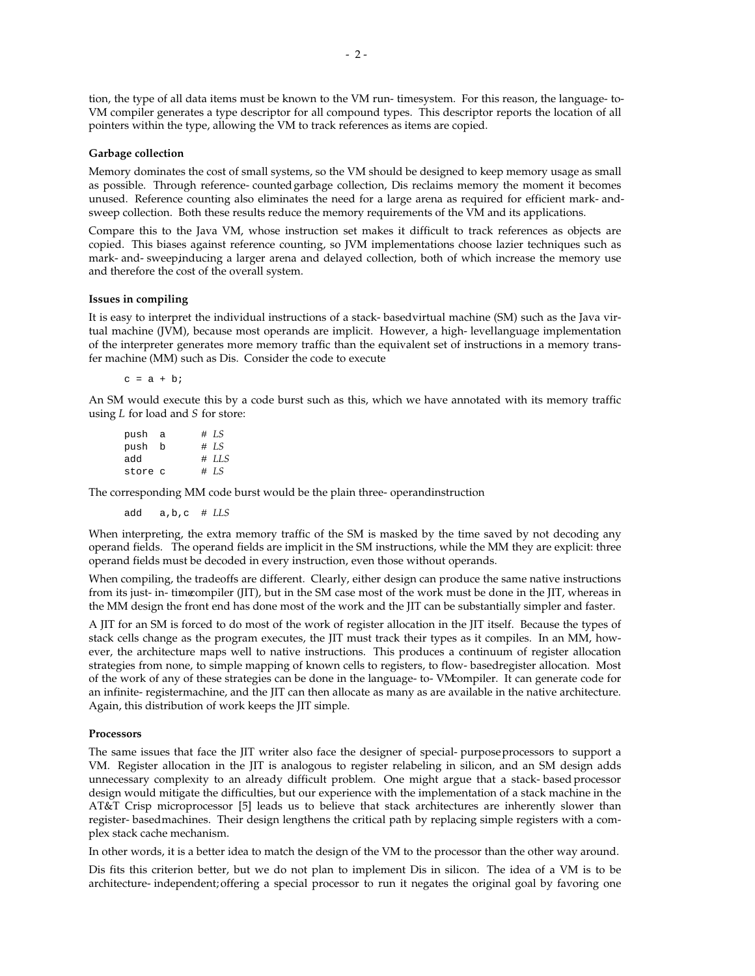tion, the type of all data items must be known to the VM run-timesystem. For this reason, the language-to-VM compiler generates a type descriptor for all compound types. This descriptor reports the location of all pointers within the type, allowing the VM to track references as items are copied.

### **Garbage collection**

Memory dominates the cost of small systems, so the VM should be designed to keep memory usage as small as possible. Through reference-countedgarbage collection, Dis reclaims memory the moment it becomes unused. Reference counting also eliminates the need for a large arena as required for efficient mark-andsweep collection. Both these results reduce the memory requirements of the VM and its applications.

Compare this to the Java VM, whose instruction set makes it difficult to track references as objects are copied. This biases against reference counting, so JVM implementations choose lazier techniques such as mark- and-sweepinducing a larger arena and delayed collection, both of which increase the memory use and therefore the cost of the overall system.

## **Issues in compiling**

It is easy to interpret the individual instructions of a stack-basedvirtual machine (SM) such as the Java virtual machine (JVM), because most operands are implicit. However, a high-levellanguage implementation of the interpreter generates more memory traffic than the equivalent set of instructions in a memory transfer machine (MM) such as Dis. Consider the code to execute

 $c = a + bi$ 

An SM would execute this by a code burst such as this, which we have annotated with its memory traffic using *L* for load and *S* for store:

| push a  |  | $\# LS$  |
|---------|--|----------|
| push b  |  | $\# LS$  |
| add     |  | $\#$ LLS |
| store c |  | $\#$ LS  |

The corresponding MM code burst would be the plain three-operandinstruction

add a,b,c # *LLS*

When interpreting, the extra memory traffic of the SM is masked by the time saved by not decoding any operand fields. The operand fields are implicit in the SM instructions, while the MM they are explicit: three operand fields must be decoded in every instruction, even those without operands.

When compiling, the tradeoffs are different. Clearly, either design can produce the same native instructions from its just-in-timecompiler (JIT), but in the SM case most of the work must be done in the JIT, whereas in the MM design the front end has done most of the work and the JIT can be substantially simpler and faster.

A JIT for an SM is forced to do most of the work of register allocation in the JIT itself. Because the types of stack cells change as the program executes, the JIT must track their types as it compiles. In an MM, however, the architecture maps well to native instructions. This produces a continuum of register allocation strategies from none, to simple mapping of known cells to registers, to flow-basedregister allocation. Most of the work of any of these strategies can be done in the language-to-VMcompiler. It can generate code for an infinite-registermachine, and the JIT can then allocate as many as are available in the native architecture. Again, this distribution of work keeps the JIT simple.

### **Processors**

The same issues that face the JIT writer also face the designer of special-purposeprocessors to support a VM. Register allocation in the JIT is analogous to register relabeling in silicon, and an SM design adds unnecessary complexity to an already difficult problem. One might argue that a stack-based processor design would mitigate the difficulties, but our experience with the implementation of a stack machine in the AT&T Crisp microprocessor [5] leads us to believe that stack architectures are inherently slower than register-basedmachines. Their design lengthens the critical path by replacing simple registers with a complex stack cache mechanism.

In other words, it is a better idea to match the design of the VM to the processor than the other way around.

Dis fits this criterion better, but we do not plan to implement Dis in silicon. The idea of a VM is to be architecture-independent;offering a special processor to run it negates the original goal by favoring one